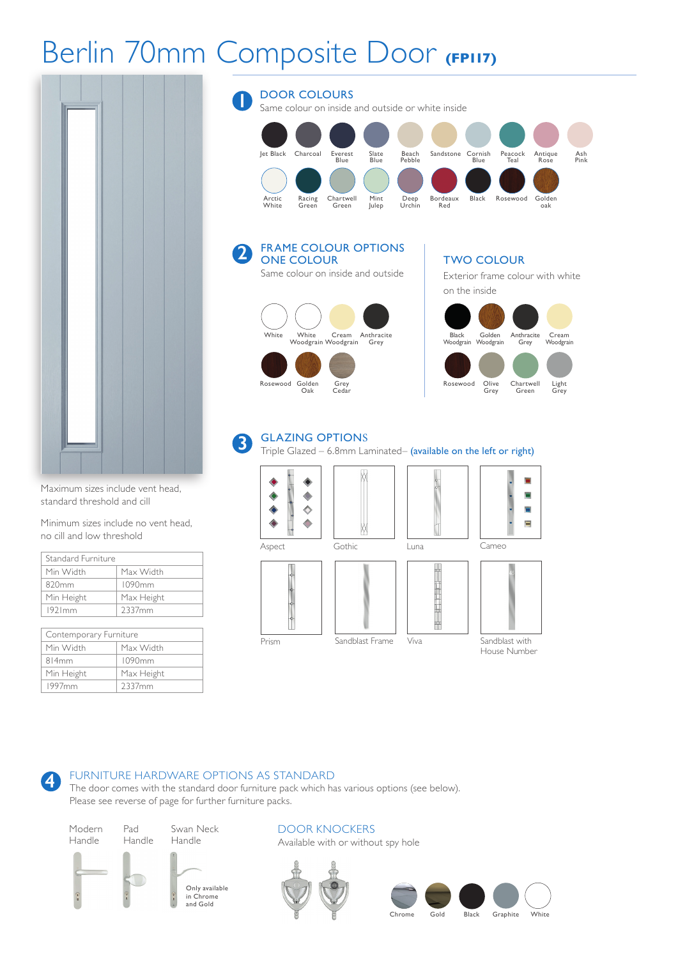# Berlin 70mm Composite Door **(FP117)**

**2**



Maximum sizes include vent head, standard threshold and cill

Minimum sizes include no vent head, no cill and low threshold

| Standard Furniture |            |
|--------------------|------------|
| Min Width          | Max Width  |
| 820 <sub>mm</sub>  | 1090mm     |
| Min Height         | Max Height |
| 1921mm             | 2337mm     |

| Contemporary Furniture |            |
|------------------------|------------|
| Min Width              | Max Width  |
| 814mm                  | 1090mm     |
| Min Height             | Max Height |
| 1997 <sub>mm</sub>     | 2337mm     |

### DOOR COLOURS Same colour on inside and outside or white inside Jet Black Charcoal Everest Slate Beach Sandstone Cornish Peacock Antique Ash Blue Blue Pebble Blue Teal Rose Pink Arctic Racing Chartwell Mint Deep Bordeaux Black Rosewood Golden Bordeaux<br>Red **1**

FRAME COLOUR OPTIONS ONE COLOUR Same colour on inside and outside



### TWO COLOUR

Exterior frame colour with white on the inside



#### GLAZING OPTIONS **3**

Triple Glazed – 6.8mm Laminated– (available on the left or right)



### FURNITURE HARDWARE OPTIONS AS STANDARD

The door comes with the standard door furniture pack which has various options (see below). Please see reverse of page for further furniture packs.

Modern Handle

Pad Handle Swan Neck Handle



DOOR KNOCKERS Available with or without spy hole



Chrome Gold Black Graphite White